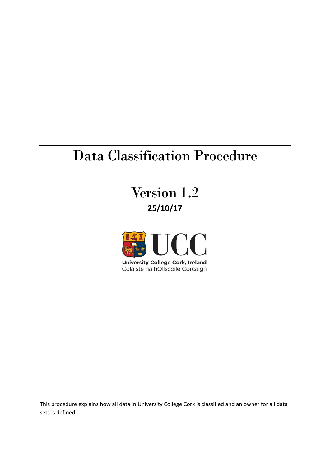## Data Classification Procedure

# Version 1.2

## **25/10/17**



This procedure explains how all data in University College Cork is classified and an owner for all data sets is defined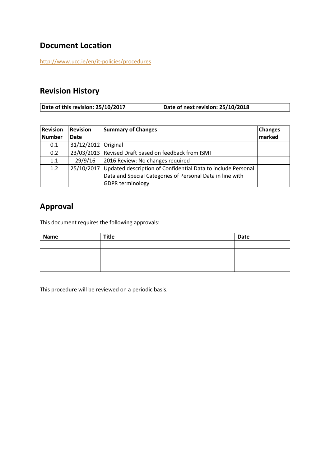#### **Document Location**

<http://www.ucc.ie/en/it-policies/procedures>

## **Revision History**

**Date of this revision: 25/10/2017 Date of next revision: 25/10/2018**

| <b>Revision</b><br><b>Revision</b> |                     | <b>Summary of Changes</b>                                                                                                 | <b>Changes</b> |
|------------------------------------|---------------------|---------------------------------------------------------------------------------------------------------------------------|----------------|
| <b>Number</b>                      | <b>Date</b>         |                                                                                                                           | marked         |
| 0.1                                | 31/12/2012 Original |                                                                                                                           |                |
| 0.2                                | 23/03/2013          | Revised Draft based on feedback from ISMT                                                                                 |                |
| 1.1                                | 29/9/16             | 2016 Review: No changes required                                                                                          |                |
| 25/10/2017<br>1.2                  |                     | Updated description of Confidential Data to include Personal<br>Data and Special Categories of Personal Data in line with |                |
|                                    |                     | <b>GDPR terminology</b>                                                                                                   |                |

## **Approval**

This document requires the following approvals:

| <b>Name</b> | Title | <b>Date</b> |
|-------------|-------|-------------|
|             |       |             |
|             |       |             |
|             |       |             |
|             |       |             |

This procedure will be reviewed on a periodic basis.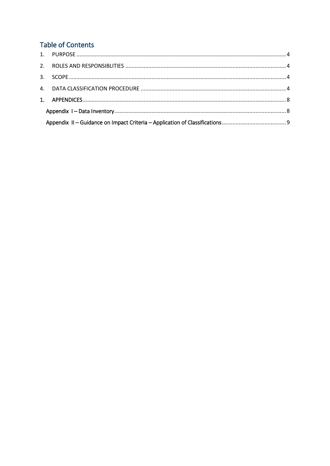### **Table of Contents**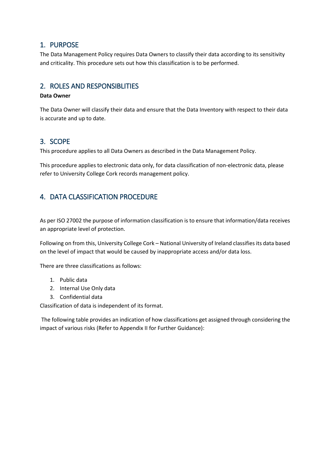#### <span id="page-3-0"></span>1. PURPOSE

The Data Management Policy requires Data Owners to classify their data according to its sensitivity and criticality. This procedure sets out how this classification is to be performed.

#### <span id="page-3-1"></span>2. ROLES AND RESPONSIBLITIES

#### **Data Owner**

The Data Owner will classify their data and ensure that the Data Inventory with respect to their data is accurate and up to date.

#### <span id="page-3-2"></span>3. SCOPE

This procedure applies to all Data Owners as described in the Data Management Policy.

This procedure applies to electronic data only, for data classification of non-electronic data, please refer to University College Cork records management policy.

#### <span id="page-3-3"></span>4. DATA CLASSIFICATION PROCEDURE

As per ISO 27002 the purpose of information classification is to ensure that information/data receives an appropriate level of protection.

Following on from this, University College Cork – National University of Ireland classifies its data based on the level of impact that would be caused by inappropriate access and/or data loss.

There are three classifications as follows:

- 1. Public data
- 2. Internal Use Only data
- 3. Confidential data

Classification of data is independent of its format.

The following table provides an indication of how classifications get assigned through considering the impact of various risks (Refer to Appendix II for Further Guidance):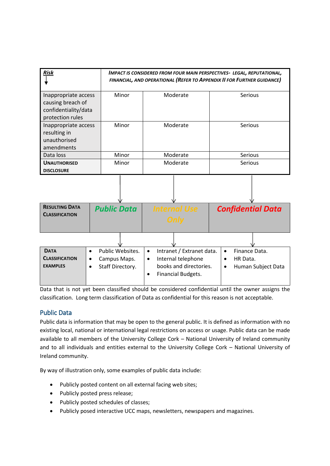| <b>Risk</b>                                                                           |           | <b>IMPACT IS CONSIDERED FROM FOUR MAIN PERSPECTIVES- LEGAL, REPUTATIONAL,</b><br>FINANCIAL, AND OPERATIONAL (REFER TO APPENDIX II FOR FURTHER GUIDANCE) |                                                           |                                 |  |  |
|---------------------------------------------------------------------------------------|-----------|---------------------------------------------------------------------------------------------------------------------------------------------------------|-----------------------------------------------------------|---------------------------------|--|--|
| Inappropriate access<br>causing breach of<br>confidentiality/data<br>protection rules |           | Minor                                                                                                                                                   | Moderate                                                  | <b>Serious</b>                  |  |  |
| Inappropriate access<br>resulting in<br>unauthorised<br>amendments                    |           | Minor                                                                                                                                                   | Moderate                                                  | Serious                         |  |  |
| Data loss                                                                             |           | Minor                                                                                                                                                   | Moderate                                                  | Serious                         |  |  |
| <b>UNAUTHORISED</b>                                                                   |           | Minor                                                                                                                                                   | Moderate                                                  | Serious                         |  |  |
| <b>DISCLOSURE</b>                                                                     |           |                                                                                                                                                         |                                                           |                                 |  |  |
|                                                                                       |           |                                                                                                                                                         |                                                           |                                 |  |  |
| <b>RESULTING DATA</b><br><b>CLASSIFICATION</b>                                        |           | <b>Public Data</b>                                                                                                                                      | <b>Internal Use</b><br>Only                               | <b>Confidential Data</b>        |  |  |
|                                                                                       |           |                                                                                                                                                         |                                                           |                                 |  |  |
|                                                                                       |           |                                                                                                                                                         |                                                           |                                 |  |  |
| <b>DATA</b>                                                                           | $\bullet$ | Public Websites.                                                                                                                                        | Intranet / Extranet data.<br>$\bullet$                    | Finance Data.<br>$\bullet$      |  |  |
| <b>CLASSIFICATION</b>                                                                 | $\bullet$ | Campus Maps.                                                                                                                                            | Internal telephone<br>$\bullet$                           | HR Data.<br>$\bullet$           |  |  |
| <b>EXAMPLES</b>                                                                       |           | Staff Directory.                                                                                                                                        | books and directories.<br>Financial Budgets.<br>$\bullet$ | Human Subject Data<br>$\bullet$ |  |  |

Data that is not yet been classified should be considered confidential until the owner assigns the classification. Long term classification of Data as confidential for this reason is not acceptable.

#### Public Data

Public data is information that may be open to the general public. It is defined as information with no existing local, national or international legal restrictions on access or usage. Public data can be made available to all members of the University College Cork – National University of Ireland community and to all individuals and entities external to the University College Cork – National University of Ireland community.

By way of illustration only, some examples of public data include:

- Publicly posted content on all external facing web sites;
- Publicly posted press release;
- Publicly posted schedules of classes;
- Publicly posed interactive UCC maps, newsletters, newspapers and magazines.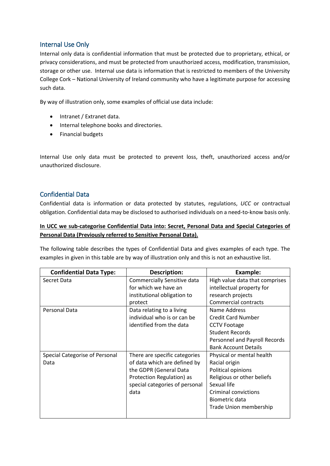#### Internal Use Only

Internal only data is confidential information that must be protected due to proprietary, ethical, or privacy considerations, and must be protected from unauthorized access, modification, transmission, storage or other use. Internal use data is information that is restricted to members of the University College Cork – National University of Ireland community who have a legitimate purpose for accessing such data.

By way of illustration only, some examples of official use data include:

- Intranet / Extranet data.
- Internal telephone books and directories.
- Financial budgets

Internal Use only data must be protected to prevent loss, theft, unauthorized access and/or unauthorized disclosure.

#### Confidential Data

Confidential data is information or data protected by statutes, regulations, *UCC* or contractual obligation. Confidential data may be disclosed to authorised individuals on a need-to-know basis only.

#### **In UCC we sub-categorise Confidential Data into: Secret, Personal Data and Special Categories of Personal Data (Previously referred to Sensitive Personal Data).**

The following table describes the types of Confidential Data and gives examples of each type. The examples in given in this table are by way of illustration only and this is not an exhaustive list.

| <b>Confidential Data Type:</b> | Description:                   | <b>Example:</b>                |
|--------------------------------|--------------------------------|--------------------------------|
| Secret Data                    | Commercially Sensitive data    | High value data that comprises |
|                                | for which we have an           | intellectual property for      |
|                                | institutional obligation to    | research projects              |
|                                | protect                        | <b>Commercial contracts</b>    |
| Personal Data                  | Data relating to a living      | Name Address                   |
|                                | individual who is or can be    | <b>Credit Card Number</b>      |
|                                | identified from the data       | <b>CCTV Footage</b>            |
|                                |                                | <b>Student Records</b>         |
|                                |                                | Personnel and Payroll Records  |
|                                |                                | <b>Bank Account Details</b>    |
| Special Categorise of Personal | There are specific categories  | Physical or mental health      |
| Data                           | of data which are defined by   | Racial origin                  |
|                                | the GDPR (General Data         | Political opinions             |
|                                | Protection Regulation) as      | Religious or other beliefs     |
|                                | special categories of personal | Sexual life                    |
|                                | data                           | Criminal convictions           |
|                                |                                | Biometric data                 |
|                                |                                | Trade Union membership         |
|                                |                                |                                |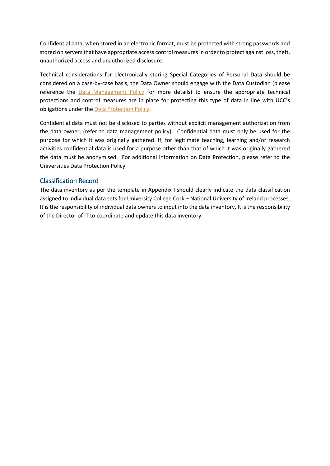Confidential data, when stored in an electronic format, must be protected with strong passwords and stored on servers that have appropriate access control measures in order to protect against loss, theft, unauthorized access and unauthorized disclosure.

Technical considerations for electronically storing Special Categories of Personal Data should be considered on a case-by-case basis, the Data Owner should engage with the Data Custodian (please reference the [Data Management Policy](https://www.ucc.ie/en/media/support/itpolicies/policies/DataManagementPolicy.pdf) for more details) to ensure the appropriate technical protections and control measures are in place for protecting this type of data in line with UCC's obligations under the [Data Protection Policy.](https://www.ucc.ie/en/ocla/comp/data/)

Confidential data must not be disclosed to parties without explicit management authorization from the data owner, (refer to data management policy). Confidential data must only be used for the purpose for which it was originally gathered. If, for legitimate teaching, learning and/or research activities confidential data is used for a purpose other than that of which it was originally gathered the data must be anonymised. For additional information on Data Protection, please refer to the Universities Data Protection Policy.

#### Classification Record

The data inventory as per the template in Appendix I should clearly indicate the data classification assigned to individual data sets for University College Cork – National University of Ireland processes. It is the responsibility of individual data owners to input into the data inventory. It is the responsibility of the Director of IT to coordinate and update this data inventory.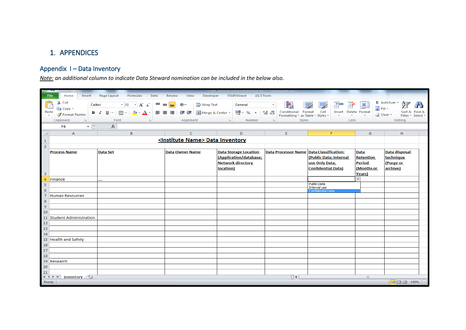#### 1. APPENDICES

## Appendix I – Data Inventory

*Note: an additional column to indicate Data Steward nomination can be included in the below also.*

<span id="page-7-1"></span><span id="page-7-0"></span>

|                     | Home<br>Page Layout<br>Formulas<br>STARWizard<br>AS/2 Tools<br>Insert<br>Data<br>Review<br>View<br>Developer<br>File |                                                                                         |                                                   |                                                         |                                                             |                                             |                                                      |                                                               |
|---------------------|----------------------------------------------------------------------------------------------------------------------|-----------------------------------------------------------------------------------------|---------------------------------------------------|---------------------------------------------------------|-------------------------------------------------------------|---------------------------------------------|------------------------------------------------------|---------------------------------------------------------------|
|                     | Cut<br>Calibri<br>≣े Copy *                                                                                          | $\overline{+}$ 11 $\overline{+}$ $\overline{A}^*$ $\overline{A}^*$<br>≡                 | <b>T</b> Wrap Text<br>$\sum_{\alpha}$<br>$\equiv$ | General                                                 | 鷝                                                           | Ť                                           | $\overline{\bigoplus}$ Fill $\overline{\phantom{a}}$ | $\Sigma$ AutoSum $\sim$<br>$\mathbf{A}$                       |
|                     | Paste<br>Format Painter                                                                                              | <b>B</b> $I$ <b>U</b> $\cdot$ <b>H</b> $\cdot$ $\otimes$ $\cdot$ <b>A</b> $\cdot$<br>青青 | Merge & Center<br>清<br>$\leftarrow$ $\leftarrow$  | $\frac{49}{32}$ - % , $\frac{40}{30}$ - $\frac{00}{20}$ | Conditional Format Cell<br>Formatting * as Table * Styles * | Insert Delete Format                        |                                                      | Sort & Find &<br><b><i>Q</i></b> Clear ▼<br>Filter * Select * |
|                     | Clipboard<br>$\overline{\mathbb{F}_M}$ .                                                                             | Font<br>$\overline{\mathbb{F}_M}$ .                                                     | Alignment                                         | $\overline{\mathbb{R}}$ .<br>Number                     | $\overline{\mathbb{F}_M}$<br>Styles                         | Cells                                       |                                                      | Editing                                                       |
|                     | $ ($<br>F <sub>4</sub>                                                                                               | $f_x$                                                                                   |                                                   |                                                         |                                                             |                                             |                                                      |                                                               |
| ◢                   | $\overline{A}$                                                                                                       | $\mathbf{B}$                                                                            | $\mathsf{C}$                                      | D                                                       | E                                                           | F.                                          | G                                                    | H                                                             |
| $\mathbf{1}$        |                                                                                                                      |                                                                                         | <institute name=""> Data Inventory</institute>    |                                                         |                                                             |                                             |                                                      |                                                               |
| $\overline{2}$      |                                                                                                                      |                                                                                         |                                                   |                                                         |                                                             |                                             |                                                      |                                                               |
|                     | <b>Process Name</b>                                                                                                  | <b>Data Set</b>                                                                         | <b>Data Owner Name</b>                            | <b>Data Storage Location</b>                            | Data Processor Name Data Classification:                    |                                             | <b>Data</b>                                          | Data disposal                                                 |
|                     |                                                                                                                      |                                                                                         |                                                   | (Application/database;<br><b>Network directory</b>      |                                                             | (Public Data; Internal                      | <b>Retention</b><br><b>Period</b>                    | technique                                                     |
|                     |                                                                                                                      |                                                                                         |                                                   | location)                                               |                                                             | use Only Data;<br><b>Confidential Data)</b> | (Months or                                           | (Purge or<br>archive)                                         |
| 3                   |                                                                                                                      |                                                                                         |                                                   |                                                         |                                                             |                                             | Years)                                               |                                                               |
| 4                   | Finance                                                                                                              |                                                                                         |                                                   |                                                         |                                                             |                                             | $\mathbf{w}$                                         |                                                               |
| 5                   |                                                                                                                      |                                                                                         |                                                   |                                                         |                                                             | <b>Public Data</b><br><b>Internal use</b>   |                                                      |                                                               |
| 6                   |                                                                                                                      |                                                                                         |                                                   |                                                         |                                                             | Confidential Data                           |                                                      |                                                               |
| $\overline{7}$<br>8 | <b>Human Resources</b>                                                                                               |                                                                                         |                                                   |                                                         |                                                             |                                             |                                                      |                                                               |
| 9                   |                                                                                                                      |                                                                                         |                                                   |                                                         |                                                             |                                             |                                                      |                                                               |
| 10                  |                                                                                                                      |                                                                                         |                                                   |                                                         |                                                             |                                             |                                                      |                                                               |
|                     | 11 Student Administration                                                                                            |                                                                                         |                                                   |                                                         |                                                             |                                             |                                                      |                                                               |
| $12\,$              |                                                                                                                      |                                                                                         |                                                   |                                                         |                                                             |                                             |                                                      |                                                               |
| 13<br>14            |                                                                                                                      |                                                                                         |                                                   |                                                         |                                                             |                                             |                                                      |                                                               |
|                     | 15 Health and Safety                                                                                                 |                                                                                         |                                                   |                                                         |                                                             |                                             |                                                      |                                                               |
| 16                  |                                                                                                                      |                                                                                         |                                                   |                                                         |                                                             |                                             |                                                      |                                                               |
| 17                  |                                                                                                                      |                                                                                         |                                                   |                                                         |                                                             |                                             |                                                      |                                                               |
| 18                  |                                                                                                                      |                                                                                         |                                                   |                                                         |                                                             |                                             |                                                      |                                                               |
|                     | 19 Research                                                                                                          |                                                                                         |                                                   |                                                         |                                                             |                                             |                                                      |                                                               |
| 20<br>21            |                                                                                                                      |                                                                                         |                                                   |                                                         |                                                             |                                             |                                                      |                                                               |
|                     | H 4 ▶ H Inventory 1<br>旧址<br>$\parallel \parallel \parallel$                                                         |                                                                                         |                                                   |                                                         |                                                             |                                             |                                                      |                                                               |
|                     | Ready                                                                                                                |                                                                                         |                                                   |                                                         |                                                             |                                             |                                                      |                                                               |